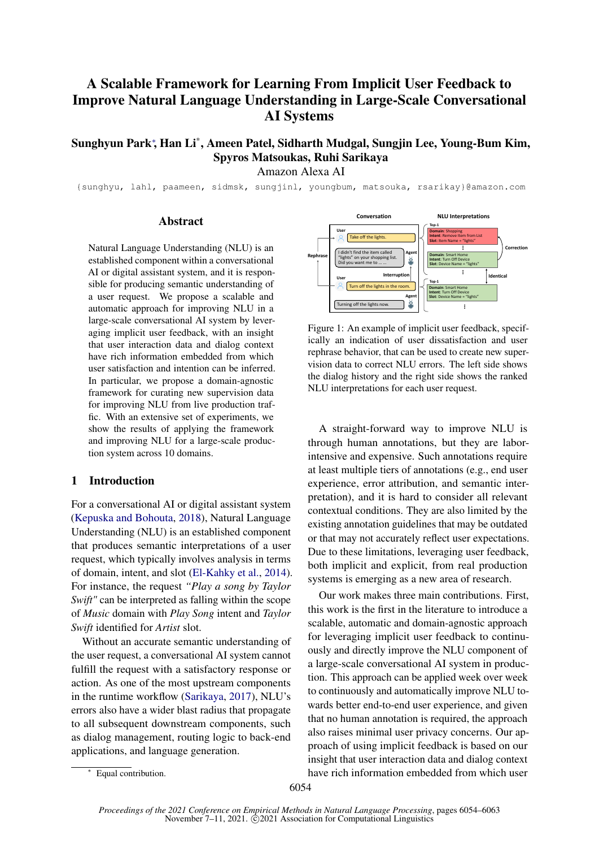# A Scalable Framework for Learning From Implicit User Feedback to Improve Natural Language Understanding in Large-Scale Conversational AI Systems

Sunghyun Park<sup>∗</sup> , Han Li\* , Ameen Patel, Sidharth Mudgal, Sungjin Lee, Young-Bum Kim, Spyros Matsoukas, Ruhi Sarikaya

Amazon Alexa AI

{sunghyu, lahl, paameen, sidmsk, sungjinl, youngbum, matsouka, rsarikay}@amazon.com

## **Abstract**

Natural Language Understanding (NLU) is an established component within a conversational AI or digital assistant system, and it is responsible for producing semantic understanding of a user request. We propose a scalable and automatic approach for improving NLU in a large-scale conversational AI system by leveraging implicit user feedback, with an insight that user interaction data and dialog context have rich information embedded from which user satisfaction and intention can be inferred. In particular, we propose a domain-agnostic framework for curating new supervision data for improving NLU from live production traffic. With an extensive set of experiments, we show the results of applying the framework and improving NLU for a large-scale production system across 10 domains.

# 1 Introduction

For a conversational AI or digital assistant system [\(Kepuska and Bohouta,](#page-8-0) [2018\)](#page-8-0), Natural Language Understanding (NLU) is an established component that produces semantic interpretations of a user request, which typically involves analysis in terms of domain, intent, and slot [\(El-Kahky et al.,](#page-8-1) [2014\)](#page-8-1). For instance, the request *"Play a song by Taylor Swift"* can be interpreted as falling within the scope of *Music* domain with *Play Song* intent and *Taylor Swift* identified for *Artist* slot.

Without an accurate semantic understanding of the user request, a conversational AI system cannot fulfill the request with a satisfactory response or action. As one of the most upstream components in the runtime workflow [\(Sarikaya,](#page-9-0) [2017\)](#page-9-0), NLU's errors also have a wider blast radius that propagate to all subsequent downstream components, such as dialog management, routing logic to back-end applications, and language generation.

<span id="page-0-0"></span>

Figure 1: An example of implicit user feedback, specifically an indication of user dissatisfaction and user rephrase behavior, that can be used to create new supervision data to correct NLU errors. The left side shows the dialog history and the right side shows the ranked NLU interpretations for each user request.

A straight-forward way to improve NLU is through human annotations, but they are laborintensive and expensive. Such annotations require at least multiple tiers of annotations (e.g., end user experience, error attribution, and semantic interpretation), and it is hard to consider all relevant contextual conditions. They are also limited by the existing annotation guidelines that may be outdated or that may not accurately reflect user expectations. Due to these limitations, leveraging user feedback, both implicit and explicit, from real production systems is emerging as a new area of research.

Our work makes three main contributions. First, this work is the first in the literature to introduce a scalable, automatic and domain-agnostic approach for leveraging implicit user feedback to continuously and directly improve the NLU component of a large-scale conversational AI system in production. This approach can be applied week over week to continuously and automatically improve NLU towards better end-to-end user experience, and given that no human annotation is required, the approach also raises minimal user privacy concerns. Our approach of using implicit feedback is based on our insight that user interaction data and dialog context have rich information embedded from which user

Equal contribution.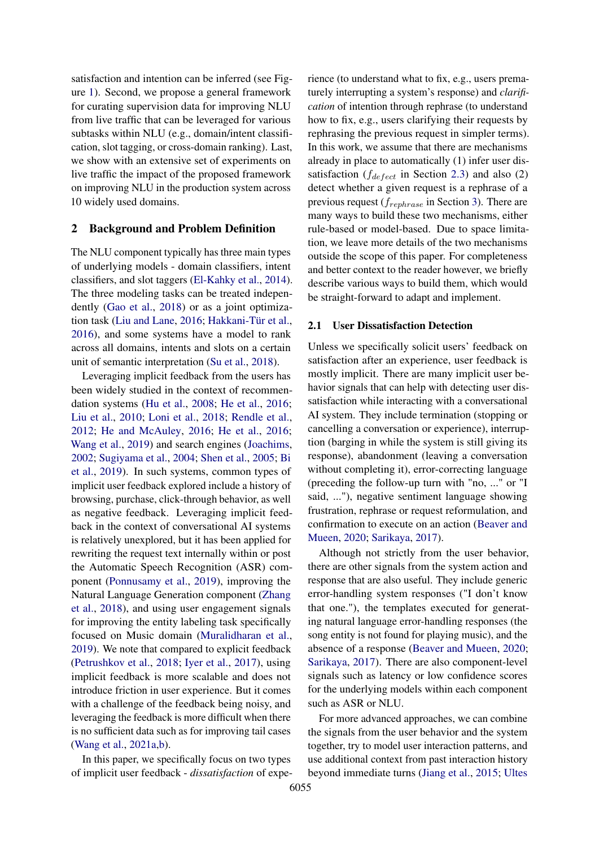satisfaction and intention can be inferred (see Figure [1\)](#page-0-0). Second, we propose a general framework for curating supervision data for improving NLU from live traffic that can be leveraged for various subtasks within NLU (e.g., domain/intent classification, slot tagging, or cross-domain ranking). Last, we show with an extensive set of experiments on live traffic the impact of the proposed framework on improving NLU in the production system across 10 widely used domains.

### 2 Background and Problem Definition

The NLU component typically has three main types of underlying models - domain classifiers, intent classifiers, and slot taggers [\(El-Kahky et al.,](#page-8-1) [2014\)](#page-8-1). The three modeling tasks can be treated independently [\(Gao et al.,](#page-8-2) [2018\)](#page-8-2) or as a joint optimization task [\(Liu and Lane,](#page-9-1) [2016;](#page-9-1) [Hakkani-Tür et al.,](#page-8-3) [2016\)](#page-8-3), and some systems have a model to rank across all domains, intents and slots on a certain unit of semantic interpretation [\(Su et al.,](#page-9-2) [2018\)](#page-9-2).

Leveraging implicit feedback from the users has been widely studied in the context of recommendation systems [\(Hu et al.,](#page-8-4) [2008;](#page-8-4) [He et al.,](#page-8-5) [2016;](#page-8-5) [Liu et al.,](#page-9-3) [2010;](#page-9-3) [Loni et al.,](#page-9-4) [2018;](#page-9-4) [Rendle et al.,](#page-9-5) [2012;](#page-9-5) [He and McAuley,](#page-8-6) [2016;](#page-8-6) [He et al.,](#page-8-5) [2016;](#page-8-5) [Wang et al.,](#page-9-6) [2019\)](#page-9-6) and search engines [\(Joachims,](#page-8-7) [2002;](#page-8-7) [Sugiyama et al.,](#page-9-7) [2004;](#page-9-7) [Shen et al.,](#page-9-8) [2005;](#page-9-8) [Bi](#page-8-8) [et al.,](#page-8-8) [2019\)](#page-8-8). In such systems, common types of implicit user feedback explored include a history of browsing, purchase, click-through behavior, as well as negative feedback. Leveraging implicit feedback in the context of conversational AI systems is relatively unexplored, but it has been applied for rewriting the request text internally within or post the Automatic Speech Recognition (ASR) component [\(Ponnusamy et al.,](#page-9-9) [2019\)](#page-9-9), improving the Natural Language Generation component [\(Zhang](#page-9-10) [et al.,](#page-9-10) [2018\)](#page-9-10), and using user engagement signals for improving the entity labeling task specifically focused on Music domain [\(Muralidharan et al.,](#page-9-11) [2019\)](#page-9-11). We note that compared to explicit feedback [\(Petrushkov et al.,](#page-9-12) [2018;](#page-9-12) [Iyer et al.,](#page-8-9) [2017\)](#page-8-9), using implicit feedback is more scalable and does not introduce friction in user experience. But it comes with a challenge of the feedback being noisy, and leveraging the feedback is more difficult when there is no sufficient data such as for improving tail cases [\(Wang et al.,](#page-9-13) [2021a](#page-9-13)[,b\)](#page-9-14).

In this paper, we specifically focus on two types of implicit user feedback - *dissatisfaction* of experience (to understand what to fix, e.g., users prematurely interrupting a system's response) and *clarification* of intention through rephrase (to understand how to fix, e.g., users clarifying their requests by rephrasing the previous request in simpler terms). In this work, we assume that there are mechanisms already in place to automatically (1) infer user dissatisfaction ( $f_{defect}$  in Section [2.3\)](#page-2-0) and also (2) detect whether a given request is a rephrase of a previous request ( $f_{rephrase}$  in Section [3\)](#page-2-1). There are many ways to build these two mechanisms, either rule-based or model-based. Due to space limitation, we leave more details of the two mechanisms outside the scope of this paper. For completeness and better context to the reader however, we briefly describe various ways to build them, which would be straight-forward to adapt and implement.

#### 2.1 User Dissatisfaction Detection

Unless we specifically solicit users' feedback on satisfaction after an experience, user feedback is mostly implicit. There are many implicit user behavior signals that can help with detecting user dissatisfaction while interacting with a conversational AI system. They include termination (stopping or cancelling a conversation or experience), interruption (barging in while the system is still giving its response), abandonment (leaving a conversation without completing it), error-correcting language (preceding the follow-up turn with "no, ..." or "I said, ..."), negative sentiment language showing frustration, rephrase or request reformulation, and confirmation to execute on an action [\(Beaver and](#page-8-10) [Mueen,](#page-8-10) [2020;](#page-8-10) [Sarikaya,](#page-9-0) [2017\)](#page-9-0).

Although not strictly from the user behavior, there are other signals from the system action and response that are also useful. They include generic error-handling system responses ("I don't know that one."), the templates executed for generating natural language error-handling responses (the song entity is not found for playing music), and the absence of a response [\(Beaver and Mueen,](#page-8-10) [2020;](#page-8-10) [Sarikaya,](#page-9-0) [2017\)](#page-9-0). There are also component-level signals such as latency or low confidence scores for the underlying models within each component such as ASR or NLU.

For more advanced approaches, we can combine the signals from the user behavior and the system together, try to model user interaction patterns, and use additional context from past interaction history beyond immediate turns [\(Jiang et al.,](#page-8-11) [2015;](#page-8-11) [Ultes](#page-9-15)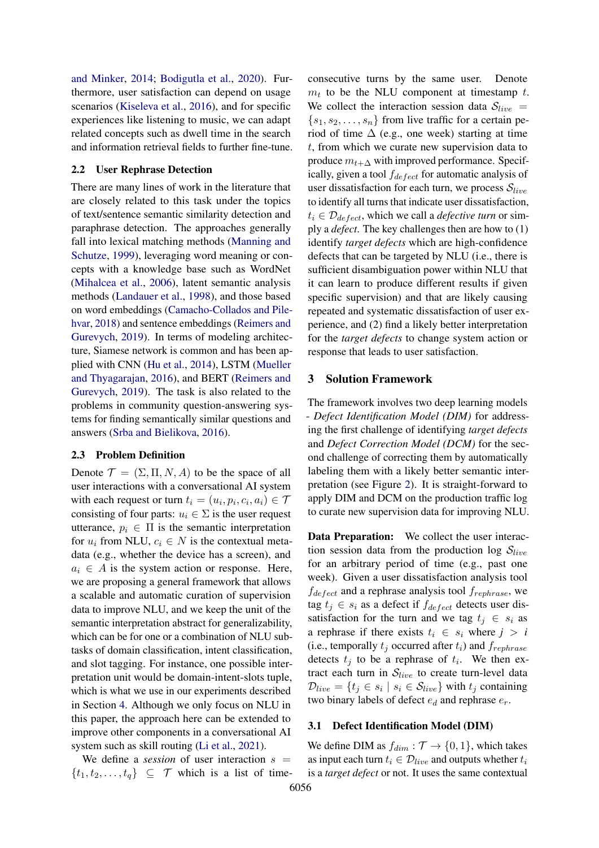[and Minker,](#page-9-15) [2014;](#page-9-15) [Bodigutla et al.,](#page-8-12) [2020\)](#page-8-12). Furthermore, user satisfaction can depend on usage scenarios [\(Kiseleva et al.,](#page-8-13) [2016\)](#page-8-13), and for specific experiences like listening to music, we can adapt related concepts such as dwell time in the search and information retrieval fields to further fine-tune.

### 2.2 User Rephrase Detection

There are many lines of work in the literature that are closely related to this task under the topics of text/sentence semantic similarity detection and paraphrase detection. The approaches generally fall into lexical matching methods [\(Manning and](#page-9-16) [Schutze,](#page-9-16) [1999\)](#page-9-16), leveraging word meaning or concepts with a knowledge base such as WordNet [\(Mihalcea et al.,](#page-9-17) [2006\)](#page-9-17), latent semantic analysis methods [\(Landauer et al.,](#page-8-14) [1998\)](#page-8-14), and those based on word embeddings [\(Camacho-Collados and Pile](#page-8-15)[hvar,](#page-8-15) [2018\)](#page-8-15) and sentence embeddings [\(Reimers and](#page-9-18) [Gurevych,](#page-9-18) [2019\)](#page-9-18). In terms of modeling architecture, Siamese network is common and has been applied with CNN [\(Hu et al.,](#page-8-16) [2014\)](#page-8-16), LSTM [\(Mueller](#page-9-19) [and Thyagarajan,](#page-9-19) [2016\)](#page-9-19), and BERT [\(Reimers and](#page-9-18) [Gurevych,](#page-9-18) [2019\)](#page-9-18). The task is also related to the problems in community question-answering systems for finding semantically similar questions and answers [\(Srba and Bielikova,](#page-9-20) [2016\)](#page-9-20).

### <span id="page-2-0"></span>2.3 Problem Definition

Denote  $\mathcal{T} = (\Sigma, \Pi, N, A)$  to be the space of all user interactions with a conversational AI system with each request or turn  $t_i = (u_i, p_i, c_i, a_i) \in \mathcal{T}$ consisting of four parts:  $u_i \in \Sigma$  is the user request utterance,  $p_i \in \Pi$  is the semantic interpretation for  $u_i$  from NLU,  $c_i \in N$  is the contextual metadata (e.g., whether the device has a screen), and  $a_i \in A$  is the system action or response. Here, we are proposing a general framework that allows a scalable and automatic curation of supervision data to improve NLU, and we keep the unit of the semantic interpretation abstract for generalizability, which can be for one or a combination of NLU subtasks of domain classification, intent classification, and slot tagging. For instance, one possible interpretation unit would be domain-intent-slots tuple, which is what we use in our experiments described in Section [4.](#page-4-0) Although we only focus on NLU in this paper, the approach here can be extended to improve other components in a conversational AI system such as skill routing [\(Li et al.,](#page-8-17) [2021\)](#page-8-17).

We define a *session* of user interaction  $s =$  $\{t_1, t_2, \ldots, t_q\} \subseteq \mathcal{T}$  which is a list of timeconsecutive turns by the same user. Denote  $m_t$  to be the NLU component at timestamp t. We collect the interaction session data  $S_{live}$  =  ${s_1, s_2, \ldots, s_n}$  from live traffic for a certain period of time  $\Delta$  (e.g., one week) starting at time t, from which we curate new supervision data to produce  $m_{t+\Delta}$  with improved performance. Specifically, given a tool  $f_{defect}$  for automatic analysis of user dissatisfaction for each turn, we process  $S_{live}$ to identify all turns that indicate user dissatisfaction,  $t_i \in \mathcal{D}_{defect}$ , which we call a *defective turn* or simply a *defect*. The key challenges then are how to (1) identify *target defects* which are high-confidence defects that can be targeted by NLU (i.e., there is sufficient disambiguation power within NLU that it can learn to produce different results if given specific supervision) and that are likely causing repeated and systematic dissatisfaction of user experience, and (2) find a likely better interpretation for the *target defects* to change system action or response that leads to user satisfaction.

# <span id="page-2-1"></span>3 Solution Framework

The framework involves two deep learning models - *Defect Identification Model (DIM)* for addressing the first challenge of identifying *target defects* and *Defect Correction Model (DCM)* for the second challenge of correcting them by automatically labeling them with a likely better semantic interpretation (see Figure [2\)](#page-3-0). It is straight-forward to apply DIM and DCM on the production traffic log to curate new supervision data for improving NLU.

Data Preparation: We collect the user interaction session data from the production log  $S_{live}$ for an arbitrary period of time (e.g., past one week). Given a user dissatisfaction analysis tool  $f_{defect}$  and a rephrase analysis tool  $f_{rephrase}$ , we tag  $t_j \in s_i$  as a defect if  $f_{defect}$  detects user dissatisfaction for the turn and we tag  $t_j \in s_i$  as a rephrase if there exists  $t_i \in s_i$  where  $j > i$ (i.e., temporally  $t_i$  occurred after  $t_i$ ) and  $f_{renhrase}$ detects  $t_j$  to be a rephrase of  $t_i$ . We then extract each turn in  $S_{live}$  to create turn-level data  $\mathcal{D}_{live} = \{t_j \in s_i \mid s_i \in \mathcal{S}_{live}\}$  with  $t_j$  containing two binary labels of defect  $e_d$  and rephrase  $e_r$ .

### <span id="page-2-2"></span>3.1 Defect Identification Model (DIM)

We define DIM as  $f_{dim}: \mathcal{T} \to \{0, 1\}$ , which takes as input each turn  $t_i \in \mathcal{D}_{live}$  and outputs whether  $t_i$ is a *target defect* or not. It uses the same contextual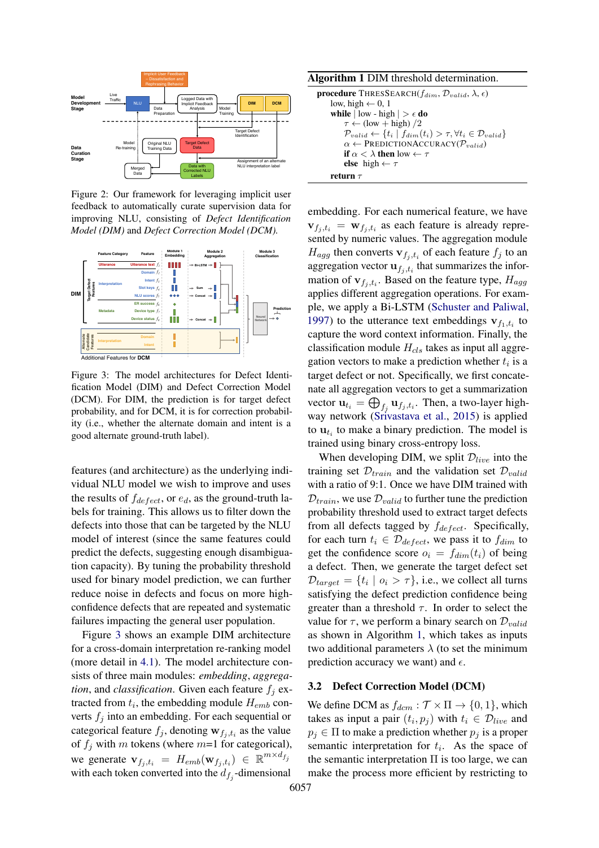<span id="page-3-0"></span>

Figure 2: Our framework for leveraging implicit user feedback to automatically curate supervision data for improving NLU, consisting of *Defect Identification Model (DIM)* and *Defect Correction Model (DCM).*

<span id="page-3-1"></span>

Figure 3: The model architectures for Defect Identification Model (DIM) and Defect Correction Model (DCM). For DIM, the prediction is for target defect probability, and for DCM, it is for correction probability (i.e., whether the alternate domain and intent is a good alternate ground-truth label).

features (and architecture) as the underlying individual NLU model we wish to improve and uses the results of  $f_{defect}$ , or  $e_d$ , as the ground-truth labels for training. This allows us to filter down the defects into those that can be targeted by the NLU model of interest (since the same features could predict the defects, suggesting enough disambiguation capacity). By tuning the probability threshold used for binary model prediction, we can further reduce noise in defects and focus on more highconfidence defects that are repeated and systematic failures impacting the general user population.

Figure [3](#page-3-1) shows an example DIM architecture for a cross-domain interpretation re-ranking model (more detail in [4.1\)](#page-4-1). The model architecture consists of three main modules: *embedding*, *aggregation*, and *classification*. Given each feature  $f_i$  extracted from  $t_i$ , the embedding module  $H_{emb}$  converts  $f_i$  into an embedding. For each sequential or categorical feature  $f_j$ , denoting  $\mathbf{w}_{f_j,t_i}$  as the value of  $f_i$  with m tokens (where  $m=1$  for categorical), we generate  $\mathbf{v}_{f_j,t_i} = H_{emb}(\mathbf{w}_{f_j,t_i}) \in \mathbb{R}^{m \times d_{f_j}}$ with each token converted into the  $d_{f_j}$ -dimensional

<span id="page-3-2"></span>Algorithm 1 DIM threshold determination.

| <b>procedure</b> THRESSEARCH( $f_{dim}$ , $\mathcal{D}_{valid}$ , $\lambda$ , $\epsilon$ )             |
|--------------------------------------------------------------------------------------------------------|
| low, high $\leftarrow$ 0, 1                                                                            |
| <b>while</b> $ \text{low - high}  > \epsilon \text{ do}$                                               |
| $\tau \leftarrow$ (low + high) /2                                                                      |
| $\mathcal{P}_{valid} \leftarrow \{t_i \mid f_{dim}(t_i) > \tau, \forall t_i \in \mathcal{D}_{valid}\}$ |
| $\alpha \leftarrow \text{PREDICTIONACCURACY}(P_{valid})$                                               |
| if $\alpha < \lambda$ then low $\leftarrow \tau$                                                       |
| else high $\leftarrow \tau$                                                                            |
| return $\tau$                                                                                          |

embedding. For each numerical feature, we have  $\mathbf{v}_{f_j,t_i} = \mathbf{w}_{f_j,t_i}$  as each feature is already represented by numeric values. The aggregation module  $H_{agg}$  then converts  $\mathbf{v}_{f_j,t_i}$  of each feature  $f_j$  to an aggregation vector  $\mathbf{u}_{f_j,t_i}$  that summarizes the information of  $\mathbf{v}_{f_j,t_i}$ . Based on the feature type,  $H_{agg}$ applies different aggregation operations. For example, we apply a Bi-LSTM [\(Schuster and Paliwal,](#page-9-21) [1997\)](#page-9-21) to the utterance text embeddings  $\mathbf{v}_{f_1,t_i}$  to capture the word context information. Finally, the classification module  $H_{cls}$  takes as input all aggregation vectors to make a prediction whether  $t_i$  is a target defect or not. Specifically, we first concatenate all aggregation vectors to get a summarization vector  $\mathbf{u}_{t_i} = \bigoplus_{f_j} \mathbf{u}_{f_j,t_i}$ . Then, a two-layer highway network [\(Srivastava et al.,](#page-9-22) [2015\)](#page-9-22) is applied to  $\mathbf{u}_{t_i}$  to make a binary prediction. The model is trained using binary cross-entropy loss.

When developing DIM, we split  $\mathcal{D}_{live}$  into the training set  $\mathcal{D}_{train}$  and the validation set  $\mathcal{D}_{valid}$ with a ratio of 9:1. Once we have DIM trained with  $D_{train}$ , we use  $D_{valid}$  to further tune the prediction probability threshold used to extract target defects from all defects tagged by  $f_{defect}$ . Specifically, for each turn  $t_i \in \mathcal{D}_{defect}$ , we pass it to  $f_{dim}$  to get the confidence score  $o_i = f_{dim}(t_i)$  of being a defect. Then, we generate the target defect set  $\mathcal{D}_{target} = \{t_i \mid o_i > \tau\},$  i.e., we collect all turns satisfying the defect prediction confidence being greater than a threshold  $\tau$ . In order to select the value for  $\tau$ , we perform a binary search on  $\mathcal{D}_{valid}$ as shown in Algorithm [1,](#page-3-2) which takes as inputs two additional parameters  $\lambda$  (to set the minimum prediction accuracy we want) and  $\epsilon$ .

#### <span id="page-3-3"></span>3.2 Defect Correction Model (DCM)

We define DCM as  $f_{dcm}: \mathcal{T} \times \Pi \rightarrow \{0, 1\}$ , which takes as input a pair  $(t_i, p_j)$  with  $t_i \in \mathcal{D}_{live}$  and  $p_i \in \Pi$  to make a prediction whether  $p_i$  is a proper semantic interpretation for  $t_i$ . As the space of the semantic interpretation  $\Pi$  is too large, we can make the process more efficient by restricting to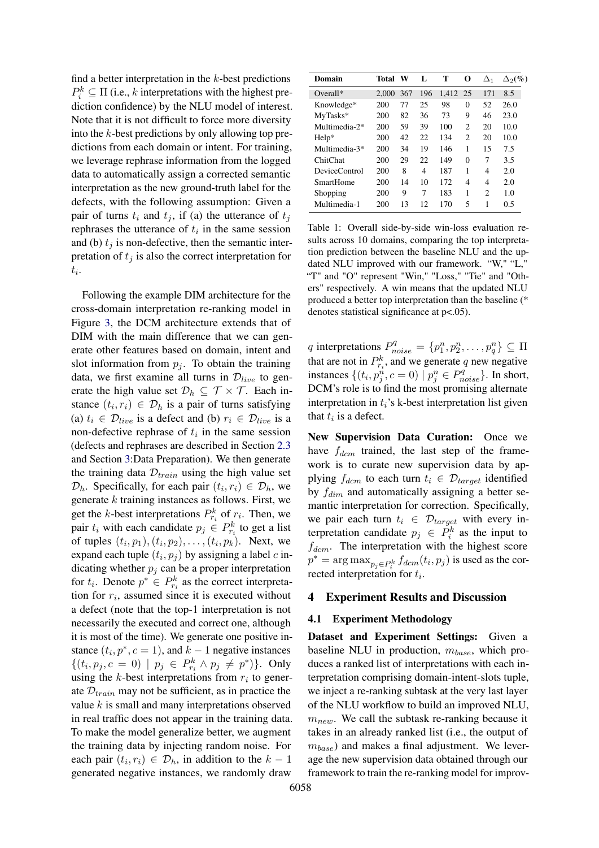find a better interpretation in the  $k$ -best predictions  $P_i^k \subseteq \Pi$  (i.e., k interpretations with the highest prediction confidence) by the NLU model of interest. Note that it is not difficult to force more diversity into the  $k$ -best predictions by only allowing top predictions from each domain or intent. For training, we leverage rephrase information from the logged data to automatically assign a corrected semantic interpretation as the new ground-truth label for the defects, with the following assumption: Given a pair of turns  $t_i$  and  $t_j$ , if (a) the utterance of  $t_j$ rephrases the utterance of  $t_i$  in the same session and (b)  $t_i$  is non-defective, then the semantic interpretation of  $t_i$  is also the correct interpretation for  $t_i$ .

Following the example DIM architecture for the cross-domain interpretation re-ranking model in Figure [3,](#page-3-1) the DCM architecture extends that of DIM with the main difference that we can generate other features based on domain, intent and slot information from  $p_i$ . To obtain the training data, we first examine all turns in  $\mathcal{D}_{live}$  to generate the high value set  $\mathcal{D}_h \subseteq \mathcal{T} \times \mathcal{T}$ . Each instance  $(t_i, r_i) \in \mathcal{D}_h$  is a pair of turns satisfying (a)  $t_i \in \mathcal{D}_{live}$  is a defect and (b)  $r_i \in \mathcal{D}_{live}$  is a non-defective rephrase of  $t_i$  in the same session (defects and rephrases are described in Section [2.3](#page-2-0) and Section [3:](#page-2-1)Data Preparation). We then generate the training data  $\mathcal{D}_{train}$  using the high value set  $\mathcal{D}_h$ . Specifically, for each pair  $(t_i, r_i) \in \mathcal{D}_h$ , we generate  $k$  training instances as follows. First, we get the k-best interpretations  $P_{r_i}^k$  of  $r_i$ . Then, we pair  $t_i$  with each candidate  $p_j \in P_{r_i}^k$  to get a list of tuples  $(t_i, p_1), (t_i, p_2), \ldots, (t_i, p_k)$ . Next, we expand each tuple  $(t_i, p_j)$  by assigning a label c indicating whether  $p_i$  can be a proper interpretation for  $t_i$ . Denote  $p^* \in P_{r_i}^k$  as the correct interpretation for  $r_i$ , assumed since it is executed without a defect (note that the top-1 interpretation is not necessarily the executed and correct one, although it is most of the time). We generate one positive instance  $(t_i, p^*, c = 1)$ , and  $k - 1$  negative instances  $\{(t_i, p_j, c = 0) \mid p_j \in P_{r_i}^k \land p_j \neq p^*)\}.$  Only using the  $k$ -best interpretations from  $r_i$  to generate  $\mathcal{D}_{train}$  may not be sufficient, as in practice the value  $k$  is small and many interpretations observed in real traffic does not appear in the training data. To make the model generalize better, we augment the training data by injecting random noise. For each pair  $(t_i, r_i) \in \mathcal{D}_h$ , in addition to the  $k-1$ generated negative instances, we randomly draw

<span id="page-4-2"></span>

| Domain        | Total | W   | L   | т     | O        | $\Delta_1$ | $\Delta_2(\%)$ |
|---------------|-------|-----|-----|-------|----------|------------|----------------|
| $Overall*$    | 2.000 | 367 | 196 | 1,412 | -25      | 171        | 8.5            |
| Knowledge*    | 200   | 77  | 25  | 98    | 0        | 52         | 26.0           |
| MyTasks*      | 200   | 82  | 36  | 73    | 9        | 46         | 23.0           |
| Multimedia-2* | 200   | 59  | 39  | 100   | 2        | 20         | 10.0           |
| $Help*$       | 200   | 42  | 22  | 134   | 2        | 20         | 10.0           |
| Multimedia-3* | 200   | 34  | 19  | 146   | 1        | 15         | 7.5            |
| ChitChat      | 200   | 29  | 22  | 149   | $\theta$ | 7          | 3.5            |
| DeviceControl | 200   | 8   | 4   | 187   | 1        | 4          | 2.0            |
| SmartHome     | 200   | 14  | 10  | 172   | 4        | 4          | 2.0            |
| Shopping      | 200   | 9   | 7   | 183   | 1        | 2          | 1.0            |
| Multimedia-1  | 200   | 13  | 12  | 170   | 5        | 1          | 0.5            |
|               |       |     |     |       |          |            |                |

Table 1: Overall side-by-side win-loss evaluation results across 10 domains, comparing the top interpretation prediction between the baseline NLU and the updated NLU improved with our framework. "W," "L," "T" and "O" represent "Win," "Loss," "Tie" and "Others" respectively. A win means that the updated NLU produced a better top interpretation than the baseline (\* denotes statistical significance at p<.05).

q interpretations  $P^q_{noise} = \{p^n_1, p^n_2, \dots, p^n_q\} \subseteq \Pi$ that are not in  $P_{r_i}^k$ , and we generate q new negative instances  $\{(t_i, p_j^n, c=0) \mid p_j^n \in P_{noise}^q\}$ . In short, DCM's role is to find the most promising alternate interpretation in  $t_i$ 's k-best interpretation list given that  $t_i$  is a defect.

New Supervision Data Curation: Once we have  $f_{dcm}$  trained, the last step of the framework is to curate new supervision data by applying  $f_{dcm}$  to each turn  $t_i \in \mathcal{D}_{target}$  identified by  $f_{dim}$  and automatically assigning a better semantic interpretation for correction. Specifically, we pair each turn  $t_i \in \mathcal{D}_{target}$  with every interpretation candidate  $p_j \in P_i^k$  as the input to  $f_{dem}$ . The interpretation with the highest score  $p^* = \arg \max_{p_j \in P_i^k} f_{dom}(t_i, p_j)$  is used as the corrected interpretation for  $t_i$ .

#### <span id="page-4-0"></span>4 Experiment Results and Discussion

#### <span id="page-4-1"></span>4.1 Experiment Methodology

Dataset and Experiment Settings: Given a baseline NLU in production,  $m_{base}$ , which produces a ranked list of interpretations with each interpretation comprising domain-intent-slots tuple, we inject a re-ranking subtask at the very last layer of the NLU workflow to build an improved NLU,  $m_{new}$ . We call the subtask re-ranking because it takes in an already ranked list (i.e., the output of  $m_{base}$ ) and makes a final adjustment. We leverage the new supervision data obtained through our framework to train the re-ranking model for improv-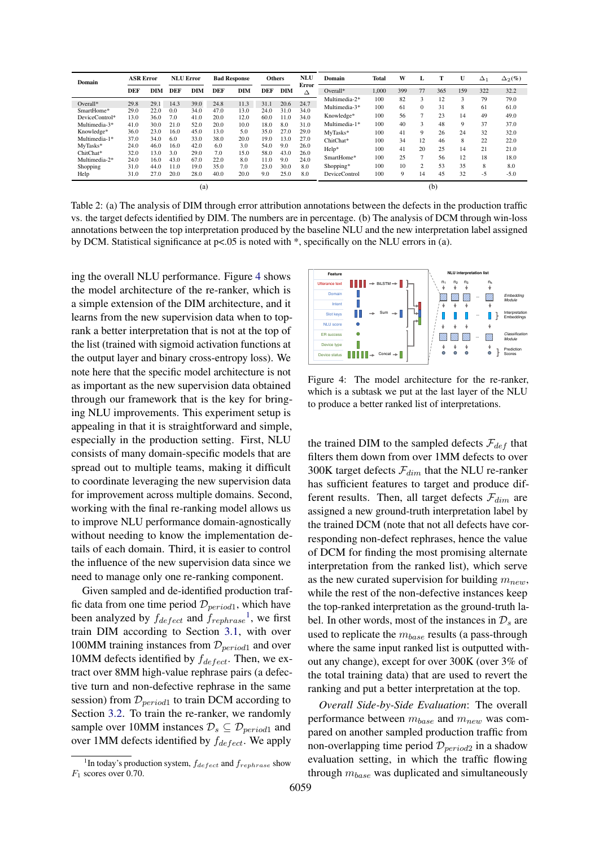<span id="page-5-2"></span>

| Domain         | <b>ASR Error</b> |            |            | <b>NLU Error</b> |            | <b>Bad Response</b> | <b>Others</b> |            | NLU        | Domain               | Total | W   | L        | Т   | U   | $\Delta_1$ | $\Delta_2(\%)$ |
|----------------|------------------|------------|------------|------------------|------------|---------------------|---------------|------------|------------|----------------------|-------|-----|----------|-----|-----|------------|----------------|
|                | <b>DEF</b>       | <b>DIM</b> | <b>DEF</b> | <b>DIM</b>       | <b>DEF</b> | DIM                 | <b>DEF</b>    | <b>DIM</b> | Error<br>Δ | Overall*             | 1.000 | 399 | 77       | 365 | 159 | 322        | 32.2           |
|                |                  |            |            |                  |            |                     |               |            |            | Multimedia-2*        | 100   | 82  | 3        | 12  | 3   | 79         | 79.0           |
| Overall*       | 29.8             | 29.        | 14.3       | 39.0             | 24.8       | 11.3                | 31.1          | 20.6       | 24.7       | Multimedia-3*        | 100   | 61  | $\Omega$ | 31  | 8   | 61         | 61.0           |
| SmartHome*     | 29.0             | 22.0       | 0.0        | 34.0             | 47.0       | 13.0                | 24.0          | 31.0       | 34.0       |                      |       |     |          |     |     |            |                |
| DeviceControl* | 13.0             | 36.0       | 7.0        | 41.0             | 20.0       | 12.0                | 60.0          | 11.0       | 34.0       | Knowledge*           | 100   | 56  |          | 23  | 14  | 49         | 49.0           |
| Multimedia-3*  | 41.0             | 30.0       | 21.0       | 52.0             | 20.0       | 10.0                | 18.0          | 8.0        | 31.0       | Multimedia-1*        | 100   | 40  | 3        | 48  | 9   | 37         | 37.0           |
| Knowledge*     | 36.0             | 23.0       | 16.0       | 45.0             | 13.0       | 5.0                 | 35.0          | 27.0       | 29.0       | MyTasks*             | 100   | 41  | 9        | 26  | 24  | 32         | 32.0           |
| Multimedia-1*  | 37.0             | 34.0       | 6.0        | 33.0             | 38.0       | 20.0                | 19.0          | 13.0       | 27.0       | ChitChat*            | 100   | 34  | 12       | 46  | 8   | 22         | 22.0           |
| MvTasks*       | 24.0             | 46.0       | 16.0       | 42.0             | 6.0        | 3.0                 | 54.0          | 9.0        | 26.0       |                      |       |     |          |     |     |            |                |
| ChitChat*      | 32.0             | 13.0       | 3.0        | 29.0             | 7.0        | 15.0                | 58.0          | 43.0       | 26.0       | $Help*$              | 100   | 41  | 20       | 25  | 14  | 21         | 21.0           |
| Multimedia-2*  | 24.0             | 16.0       | 43.0       | 67.0             | 22.0       | 8.0                 | 11.0          | 9.0        | 24.0       | SmartHome*           | 100   | 25  |          | 56  | 12  | 18         | 18.0           |
| Shopping       | 31.0             | 44.0       | 11.0       | 19.0             | 35.0       | 7.0                 | 23.0          | 30.0       | 8.0        | Shopping*            | 100   | 10  | 2        | 53  | 35  | 8          | 8.0            |
| Help           | 31.0             | 27.0       | 20.0       | 28.0             | 40.0       | 20.0                | 9.0           | 25.0       | 8.0        | <b>DeviceControl</b> | 100   | 9   | 14       | 45  | 32  | $-5$       | $-5.0$         |
| (a)            |                  |            |            |                  |            |                     |               |            |            | (b)                  |       |     |          |     |     |            |                |

Table 2: (a) The analysis of DIM through error attribution annotations between the defects in the production traffic vs. the target defects identified by DIM. The numbers are in percentage. (b) The analysis of DCM through win-loss annotations between the top interpretation produced by the baseline NLU and the new interpretation label assigned by DCM. Statistical significance at p<.05 is noted with \*, specifically on the NLU errors in (a).

ing the overall NLU performance. Figure [4](#page-5-0) shows the model architecture of the re-ranker, which is a simple extension of the DIM architecture, and it learns from the new supervision data when to toprank a better interpretation that is not at the top of the list (trained with sigmoid activation functions at the output layer and binary cross-entropy loss). We note here that the specific model architecture is not as important as the new supervision data obtained through our framework that is the key for bringing NLU improvements. This experiment setup is appealing in that it is straightforward and simple, especially in the production setting. First, NLU consists of many domain-specific models that are spread out to multiple teams, making it difficult to coordinate leveraging the new supervision data for improvement across multiple domains. Second, working with the final re-ranking model allows us to improve NLU performance domain-agnostically without needing to know the implementation details of each domain. Third, it is easier to control the influence of the new supervision data since we need to manage only one re-ranking component.

Given sampled and de-identified production traffic data from one time period  $\mathcal{D}_{period1}$ , which have been analyzed by  $f_{defect}$  and  $f_{rephrase}^{-1}$  $f_{rephrase}^{-1}$  $f_{rephrase}^{-1}$ , we first train DIM according to Section [3.1,](#page-2-2) with over 100MM training instances from  $\mathcal{D}_{period1}$  and over 10MM defects identified by  $f_{defect}$ . Then, we extract over 8MM high-value rephrase pairs (a defective turn and non-defective rephrase in the same session) from  $\mathcal{D}_{period1}$  to train DCM according to Section [3.2.](#page-3-3) To train the re-ranker, we randomly sample over 10MM instances  $\mathcal{D}_s \subseteq \mathcal{D}_{period1}$  and over 1MM defects identified by  $f_{defect}$ . We apply

<span id="page-5-0"></span>

Figure 4: The model architecture for the re-ranker, which is a subtask we put at the last layer of the NLU to produce a better ranked list of interpretations.

the trained DIM to the sampled defects  $\mathcal{F}_{def}$  that filters them down from over 1MM defects to over 300K target defects  $\mathcal{F}_{dim}$  that the NLU re-ranker has sufficient features to target and produce different results. Then, all target defects  $\mathcal{F}_{dim}$  are assigned a new ground-truth interpretation label by the trained DCM (note that not all defects have corresponding non-defect rephrases, hence the value of DCM for finding the most promising alternate interpretation from the ranked list), which serve as the new curated supervision for building  $m_{new}$ , while the rest of the non-defective instances keep the top-ranked interpretation as the ground-truth label. In other words, most of the instances in  $\mathcal{D}_s$  are used to replicate the  $m_{base}$  results (a pass-through where the same input ranked list is outputted without any change), except for over 300K (over 3% of the total training data) that are used to revert the ranking and put a better interpretation at the top.

*Overall Side-by-Side Evaluation*: The overall performance between  $m_{base}$  and  $m_{new}$  was compared on another sampled production traffic from non-overlapping time period  $\mathcal{D}_{period2}$  in a shadow evaluation setting, in which the traffic flowing through  $m_{base}$  was duplicated and simultaneously

<span id="page-5-1"></span><sup>&</sup>lt;sup>1</sup>In today's production system,  $f_{defect}$  and  $f_{rephrase}$  show  $F_1$  scores over 0.70.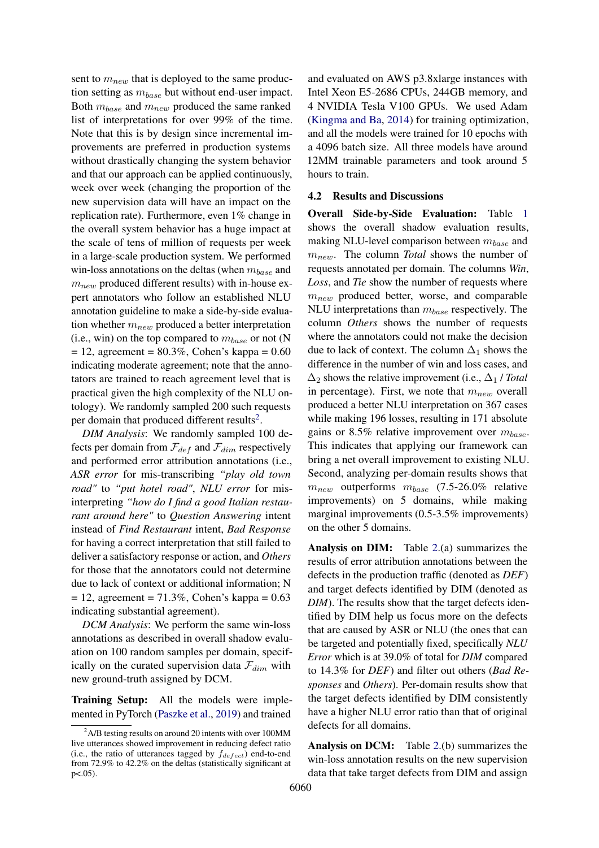sent to  $m_{new}$  that is deployed to the same production setting as  $m_{base}$  but without end-user impact. Both  $m_{base}$  and  $m_{new}$  produced the same ranked list of interpretations for over 99% of the time. Note that this is by design since incremental improvements are preferred in production systems without drastically changing the system behavior and that our approach can be applied continuously, week over week (changing the proportion of the new supervision data will have an impact on the replication rate). Furthermore, even 1% change in the overall system behavior has a huge impact at the scale of tens of million of requests per week in a large-scale production system. We performed win-loss annotations on the deltas (when  $m_{base}$  and  $m_{new}$  produced different results) with in-house expert annotators who follow an established NLU annotation guideline to make a side-by-side evaluation whether  $m_{new}$  produced a better interpretation (i.e., win) on the top compared to  $m_{base}$  or not (N  $= 12$ , agreement  $= 80.3\%$ , Cohen's kappa  $= 0.60$ indicating moderate agreement; note that the annotators are trained to reach agreement level that is practical given the high complexity of the NLU ontology). We randomly sampled 200 such requests per domain that produced different results<sup>[2](#page-6-0)</sup>.

*DIM Analysis*: We randomly sampled 100 defects per domain from  $\mathcal{F}_{def}$  and  $\mathcal{F}_{dim}$  respectively and performed error attribution annotations (i.e., *ASR error* for mis-transcribing *"play old town road"* to *"put hotel road"*, *NLU error* for misinterpreting *"how do I find a good Italian restaurant around here"* to *Question Answering* intent instead of *Find Restaurant* intent, *Bad Response* for having a correct interpretation that still failed to deliver a satisfactory response or action, and *Others* for those that the annotators could not determine due to lack of context or additional information; N  $= 12$ , agreement  $= 71.3\%$ , Cohen's kappa  $= 0.63$ indicating substantial agreement).

*DCM Analysis*: We perform the same win-loss annotations as described in overall shadow evaluation on 100 random samples per domain, specifically on the curated supervision data  $\mathcal{F}_{dim}$  with new ground-truth assigned by DCM.

Training Setup: All the models were implemented in PyTorch [\(Paszke et al.,](#page-9-23) [2019\)](#page-9-23) and trained

and evaluated on AWS p3.8xlarge instances with Intel Xeon E5-2686 CPUs, 244GB memory, and 4 NVIDIA Tesla V100 GPUs. We used Adam [\(Kingma and Ba,](#page-8-18) [2014\)](#page-8-18) for training optimization, and all the models were trained for 10 epochs with a 4096 batch size. All three models have around 12MM trainable parameters and took around 5 hours to train.

### 4.2 Results and Discussions

Overall Side-by-Side Evaluation: Table [1](#page-4-2) shows the overall shadow evaluation results, making NLU-level comparison between  $m_{base}$  and  $m_{new}$ . The column *Total* shows the number of requests annotated per domain. The columns *Win*, *Loss*, and *Tie* show the number of requests where  $m_{new}$  produced better, worse, and comparable NLU interpretations than  $m_{base}$  respectively. The column *Others* shows the number of requests where the annotators could not make the decision due to lack of context. The column  $\Delta_1$  shows the difference in the number of win and loss cases, and  $\Delta_2$  shows the relative improvement (i.e.,  $\Delta_1$  / *Total* in percentage). First, we note that  $m_{new}$  overall produced a better NLU interpretation on 367 cases while making 196 losses, resulting in 171 absolute gains or 8.5% relative improvement over  $m_{base}$ . This indicates that applying our framework can bring a net overall improvement to existing NLU. Second, analyzing per-domain results shows that  $m_{new}$  outperforms  $m_{base}$  (7.5-26.0% relative improvements) on 5 domains, while making marginal improvements (0.5-3.5% improvements) on the other 5 domains.

Analysis on DIM: Table [2.](#page-5-2)(a) summarizes the results of error attribution annotations between the defects in the production traffic (denoted as *DEF*) and target defects identified by DIM (denoted as *DIM*). The results show that the target defects identified by DIM help us focus more on the defects that are caused by ASR or NLU (the ones that can be targeted and potentially fixed, specifically *NLU Error* which is at 39.0% of total for *DIM* compared to 14.3% for *DEF*) and filter out others (*Bad Responses* and *Others*). Per-domain results show that the target defects identified by DIM consistently have a higher NLU error ratio than that of original defects for all domains.

Analysis on DCM: Table [2.](#page-5-2)(b) summarizes the win-loss annotation results on the new supervision data that take target defects from DIM and assign

<span id="page-6-0"></span> $^{2}$ A/B testing results on around 20 intents with over 100MM live utterances showed improvement in reducing defect ratio (i.e., the ratio of utterances tagged by  $f_{defect}$ ) end-to-end from 72.9% to 42.2% on the deltas (statistically significant at  $p<.05$ ).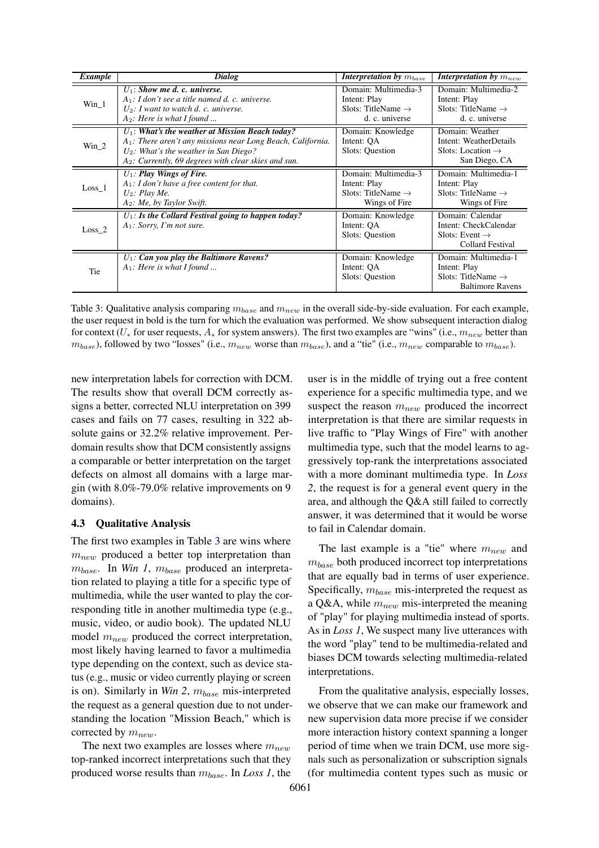<span id="page-7-0"></span>

| Example           | Dialog                                                                                                                                                                                                                      | Interpretation by $m_{base}$                                                             | <b>Interpretation by</b> $m_{new}$                                                                |
|-------------------|-----------------------------------------------------------------------------------------------------------------------------------------------------------------------------------------------------------------------------|------------------------------------------------------------------------------------------|---------------------------------------------------------------------------------------------------|
| Win 1             | $U_1$ : Show me d. c. universe.<br>$A_1$ : I don't see a title named d. c. universe.<br>$U_2$ : I want to watch d. c. universe.<br>$A_2$ : Here is what I found                                                             | Domain: Multimedia-3<br>Intent: Play<br>Slots: TitleName $\rightarrow$<br>d. c. universe | Domain: Multimedia-2<br>Intent: Play<br>Slots: TitleName $\rightarrow$<br>d. c. universe          |
| $Win_2$           | $U_1$ : What's the weather at Mission Beach today?<br>$A_1$ : There aren't any missions near Long Beach, California.<br>$U_2$ : What's the weather in San Diego?<br>$A_2$ : Currently, 69 degrees with clear skies and sun. | Domain: Knowledge<br>Intent: OA<br>Slots: Question                                       | Domain: Weather<br>Intent: WeatherDetails<br>Slots: Location $\rightarrow$<br>San Diego, CA       |
| Loss <sub>1</sub> | $U_1$ : Play Wings of Fire.<br>$A_1$ : I don't have a free content for that.<br>$U_2$ : Play Me.<br>$A_2$ : Me, by Taylor Swift.                                                                                            | Domain: Multimedia-3<br>Intent: Play<br>Slots: TitleName $\rightarrow$<br>Wings of Fire  | Domain: Multimedia-1<br>Intent: Play<br>Slots: TitleName $\rightarrow$<br>Wings of Fire           |
| Loss <sub>2</sub> | $U_1$ : Is the Collard Festival going to happen today?<br>$A_1$ : Sorry, I'm not sure.                                                                                                                                      | Domain: Knowledge<br>Intent: OA<br>Slots: Question                                       | Domain: Calendar<br>Intent: CheckCalendar<br>Slots: Event $\rightarrow$<br>Collard Festival       |
| Tie               | $U_1$ : Can you play the Baltimore Ravens?<br>$A_1$ : Here is what I found                                                                                                                                                  | Domain: Knowledge<br>Intent: QA<br>Slots: Question                                       | Domain: Multimedia-1<br>Intent: Play<br>Slots: TitleName $\rightarrow$<br><b>Baltimore Ravens</b> |

Table 3: Qualitative analysis comparing  $m_{base}$  and  $m_{new}$  in the overall side-by-side evaluation. For each example, the user request in bold is the turn for which the evaluation was performed. We show subsequent interaction dialog for context ( $U_*$  for user requests,  $A_*$  for system answers). The first two examples are "wins" (i.e.,  $m_{new}$  better than  $m_{base}$ ), followed by two "losses" (i.e.,  $m_{new}$  worse than  $m_{base}$ ), and a "tie" (i.e.,  $m_{new}$  comparable to  $m_{base}$ ).

new interpretation labels for correction with DCM. The results show that overall DCM correctly assigns a better, corrected NLU interpretation on 399 cases and fails on 77 cases, resulting in 322 absolute gains or 32.2% relative improvement. Perdomain results show that DCM consistently assigns a comparable or better interpretation on the target defects on almost all domains with a large margin (with 8.0%-79.0% relative improvements on 9 domains).

### 4.3 Qualitative Analysis

The first two examples in Table [3](#page-7-0) are wins where  $m_{new}$  produced a better top interpretation than  $m_{base}$ . In *Win 1*,  $m_{base}$  produced an interpretation related to playing a title for a specific type of multimedia, while the user wanted to play the corresponding title in another multimedia type (e.g., music, video, or audio book). The updated NLU model  $m_{new}$  produced the correct interpretation, most likely having learned to favor a multimedia type depending on the context, such as device status (e.g., music or video currently playing or screen is on). Similarly in *Win 2*,  $m_{base}$  mis-interpreted the request as a general question due to not understanding the location "Mission Beach," which is corrected by  $m_{new}$ .

The next two examples are losses where  $m_{new}$ top-ranked incorrect interpretations such that they produced worse results than mbase. In *Loss 1*, the user is in the middle of trying out a free content experience for a specific multimedia type, and we suspect the reason  $m_{new}$  produced the incorrect interpretation is that there are similar requests in live traffic to "Play Wings of Fire" with another multimedia type, such that the model learns to aggressively top-rank the interpretations associated with a more dominant multimedia type. In *Loss 2*, the request is for a general event query in the area, and although the Q&A still failed to correctly answer, it was determined that it would be worse to fail in Calendar domain.

The last example is a "tie" where  $m_{new}$  and  $m_{base}$  both produced incorrect top interpretations that are equally bad in terms of user experience. Specifically,  $m_{base}$  mis-interpreted the request as a Q&A, while  $m_{new}$  mis-interpreted the meaning of "play" for playing multimedia instead of sports. As in *Loss 1*, We suspect many live utterances with the word "play" tend to be multimedia-related and biases DCM towards selecting multimedia-related interpretations.

From the qualitative analysis, especially losses, we observe that we can make our framework and new supervision data more precise if we consider more interaction history context spanning a longer period of time when we train DCM, use more signals such as personalization or subscription signals (for multimedia content types such as music or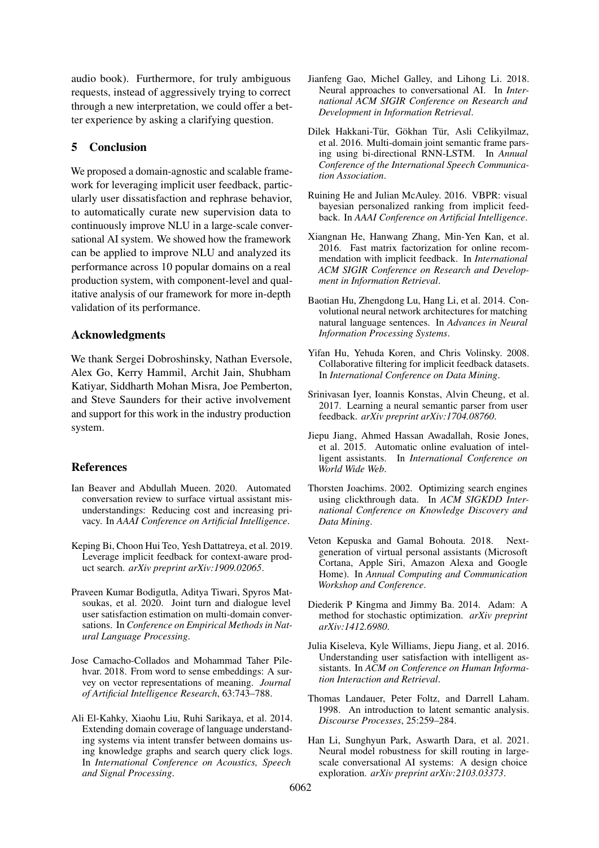audio book). Furthermore, for truly ambiguous requests, instead of aggressively trying to correct through a new interpretation, we could offer a better experience by asking a clarifying question.

# 5 Conclusion

We proposed a domain-agnostic and scalable framework for leveraging implicit user feedback, particularly user dissatisfaction and rephrase behavior, to automatically curate new supervision data to continuously improve NLU in a large-scale conversational AI system. We showed how the framework can be applied to improve NLU and analyzed its performance across 10 popular domains on a real production system, with component-level and qualitative analysis of our framework for more in-depth validation of its performance.

# Acknowledgments

We thank Sergei Dobroshinsky, Nathan Eversole, Alex Go, Kerry Hammil, Archit Jain, Shubham Katiyar, Siddharth Mohan Misra, Joe Pemberton, and Steve Saunders for their active involvement and support for this work in the industry production system.

# References

- <span id="page-8-10"></span>Ian Beaver and Abdullah Mueen. 2020. Automated conversation review to surface virtual assistant misunderstandings: Reducing cost and increasing privacy. In *AAAI Conference on Artificial Intelligence*.
- <span id="page-8-8"></span>Keping Bi, Choon Hui Teo, Yesh Dattatreya, et al. 2019. Leverage implicit feedback for context-aware product search. *arXiv preprint arXiv:1909.02065*.
- <span id="page-8-12"></span>Praveen Kumar Bodigutla, Aditya Tiwari, Spyros Matsoukas, et al. 2020. Joint turn and dialogue level user satisfaction estimation on multi-domain conversations. In *Conference on Empirical Methods in Natural Language Processing*.
- <span id="page-8-15"></span>Jose Camacho-Collados and Mohammad Taher Pilehvar. 2018. From word to sense embeddings: A survey on vector representations of meaning. *Journal of Artificial Intelligence Research*, 63:743–788.
- <span id="page-8-1"></span>Ali El-Kahky, Xiaohu Liu, Ruhi Sarikaya, et al. 2014. Extending domain coverage of language understanding systems via intent transfer between domains using knowledge graphs and search query click logs. In *International Conference on Acoustics, Speech and Signal Processing*.
- <span id="page-8-2"></span>Jianfeng Gao, Michel Galley, and Lihong Li. 2018. Neural approaches to conversational AI. In *International ACM SIGIR Conference on Research and Development in Information Retrieval*.
- <span id="page-8-3"></span>Dilek Hakkani-Tür, Gökhan Tür, Asli Celikyilmaz, et al. 2016. Multi-domain joint semantic frame parsing using bi-directional RNN-LSTM. In *Annual Conference of the International Speech Communication Association*.
- <span id="page-8-6"></span>Ruining He and Julian McAuley. 2016. VBPR: visual bayesian personalized ranking from implicit feedback. In *AAAI Conference on Artificial Intelligence*.
- <span id="page-8-5"></span>Xiangnan He, Hanwang Zhang, Min-Yen Kan, et al. 2016. Fast matrix factorization for online recommendation with implicit feedback. In *International ACM SIGIR Conference on Research and Development in Information Retrieval*.
- <span id="page-8-16"></span>Baotian Hu, Zhengdong Lu, Hang Li, et al. 2014. Convolutional neural network architectures for matching natural language sentences. In *Advances in Neural Information Processing Systems*.
- <span id="page-8-4"></span>Yifan Hu, Yehuda Koren, and Chris Volinsky. 2008. Collaborative filtering for implicit feedback datasets. In *International Conference on Data Mining*.
- <span id="page-8-9"></span>Srinivasan Iyer, Ioannis Konstas, Alvin Cheung, et al. 2017. Learning a neural semantic parser from user feedback. *arXiv preprint arXiv:1704.08760*.
- <span id="page-8-11"></span>Jiepu Jiang, Ahmed Hassan Awadallah, Rosie Jones, et al. 2015. Automatic online evaluation of intelligent assistants. In *International Conference on World Wide Web*.
- <span id="page-8-7"></span>Thorsten Joachims. 2002. Optimizing search engines using clickthrough data. In *ACM SIGKDD International Conference on Knowledge Discovery and Data Mining*.
- <span id="page-8-0"></span>Veton Kepuska and Gamal Bohouta. 2018. Nextgeneration of virtual personal assistants (Microsoft Cortana, Apple Siri, Amazon Alexa and Google Home). In *Annual Computing and Communication Workshop and Conference*.
- <span id="page-8-18"></span>Diederik P Kingma and Jimmy Ba. 2014. Adam: A method for stochastic optimization. *arXiv preprint arXiv:1412.6980*.
- <span id="page-8-13"></span>Julia Kiseleva, Kyle Williams, Jiepu Jiang, et al. 2016. Understanding user satisfaction with intelligent assistants. In *ACM on Conference on Human Information Interaction and Retrieval*.
- <span id="page-8-14"></span>Thomas Landauer, Peter Foltz, and Darrell Laham. 1998. An introduction to latent semantic analysis. *Discourse Processes*, 25:259–284.
- <span id="page-8-17"></span>Han Li, Sunghyun Park, Aswarth Dara, et al. 2021. Neural model robustness for skill routing in largescale conversational AI systems: A design choice exploration. *arXiv preprint arXiv:2103.03373*.